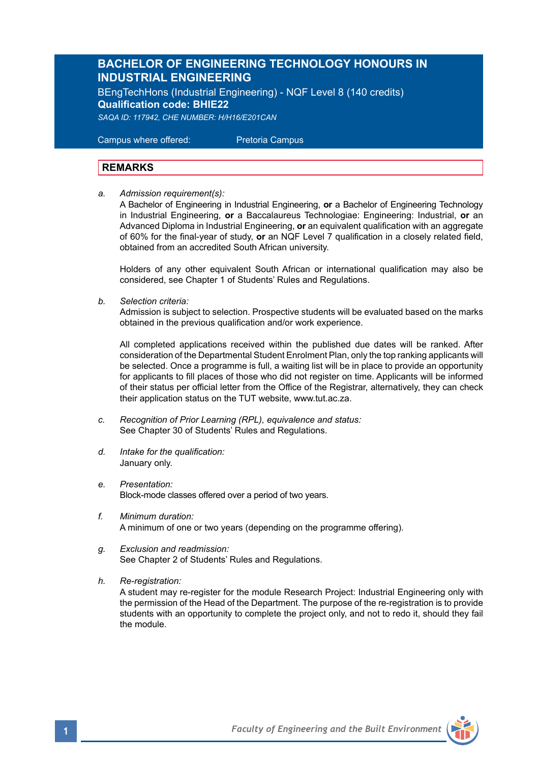## **BACHELOR OF ENGINEERING TECHNOLOGY HONOURS IN INDUSTRIAL ENGINEERING**

BEngTechHons (Industrial Engineering) - NQF Level 8 (140 credits) **Qualification code: BHIE22** *SAQA ID: 117942, CHE NUMBER: H/H16/E201CAN*

 Campus where offered: Pretoria Campus

### **REMARKS**

*a. Admission requirement(s):*

A Bachelor of Engineering in Industrial Engineering, **or** a Bachelor of Engineering Technology in Industrial Engineering, **or** a Baccalaureus Technologiae: Engineering: Industrial, **or** an Advanced Diploma in Industrial Engineering, **or** an equivalent qualification with an aggregate of 60% for the final-year of study, **or** an NQF Level 7 qualification in a closely related field, obtained from an accredited South African university.

Holders of any other equivalent South African or international qualification may also be considered, see Chapter 1 of Students' Rules and Regulations.

*b. Selection criteria:*

Admission is subject to selection. Prospective students will be evaluated based on the marks obtained in the previous qualification and/or work experience.

All completed applications received within the published due dates will be ranked. After consideration of the Departmental Student Enrolment Plan, only the top ranking applicants will be selected. Once a programme is full, a waiting list will be in place to provide an opportunity for applicants to fill places of those who did not register on time. Applicants will be informed of their status per official letter from the Office of the Registrar, alternatively, they can check their application status on the TUT website, www.tut.ac.za.

- *c. Recognition of Prior Learning (RPL), equivalence and status:* See Chapter 30 of Students' Rules and Regulations.
- *d. Intake for the qualification:* January only.
- *e. Presentation:*  Block-mode classes offered over a period of two years.
- *f. Minimum duration:* A minimum of one or two years (depending on the programme offering).
- *g. Exclusion and readmission:* See Chapter 2 of Students' Rules and Regulations.
- *h. Re-registration:*

A student may re-register for the module Research Project: Industrial Engineering only with the permission of the Head of the Department. The purpose of the re-registration is to provide students with an opportunity to complete the project only, and not to redo it, should they fail the module.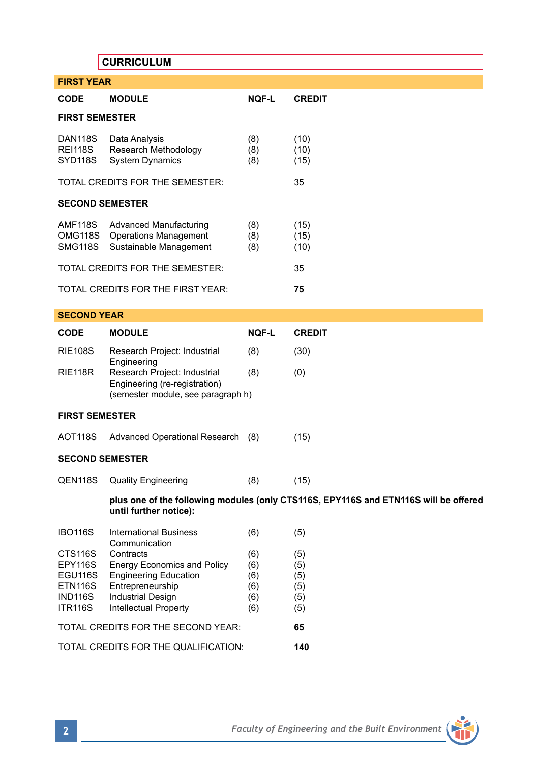|                                                                       | <b>CURRICULUM</b>                                                                                                                                               |                                        |                                        |  |
|-----------------------------------------------------------------------|-----------------------------------------------------------------------------------------------------------------------------------------------------------------|----------------------------------------|----------------------------------------|--|
| <b>FIRST YEAR</b>                                                     |                                                                                                                                                                 |                                        |                                        |  |
| <b>CODE</b>                                                           | <b>MODULE</b>                                                                                                                                                   | NQF-L                                  | <b>CREDIT</b>                          |  |
| <b>FIRST SEMESTER</b>                                                 |                                                                                                                                                                 |                                        |                                        |  |
| <b>DAN118S</b><br><b>REI118S</b><br>SYD118S                           | Data Analysis<br>Research Methodology<br><b>System Dynamics</b>                                                                                                 | (8)<br>(8)<br>(8)                      | (10)<br>(10)<br>(15)                   |  |
| TOTAL CREDITS FOR THE SEMESTER:                                       |                                                                                                                                                                 |                                        | 35                                     |  |
| <b>SECOND SEMESTER</b>                                                |                                                                                                                                                                 |                                        |                                        |  |
| AMF118S<br>OMG118S<br><b>SMG118S</b>                                  | <b>Advanced Manufacturing</b><br><b>Operations Management</b><br>Sustainable Management                                                                         | (8)<br>(8)<br>(8)                      | (15)<br>(15)<br>(10)                   |  |
| TOTAL CREDITS FOR THE SEMESTER:                                       |                                                                                                                                                                 |                                        | 35                                     |  |
| TOTAL CREDITS FOR THE FIRST YEAR:                                     |                                                                                                                                                                 |                                        | 75                                     |  |
| <b>SECOND YEAR</b>                                                    |                                                                                                                                                                 |                                        |                                        |  |
| <b>CODE</b>                                                           | <b>MODULE</b>                                                                                                                                                   | <b>NOF-L</b>                           | <b>CREDIT</b>                          |  |
| <b>RIE108S</b>                                                        | Research Project: Industrial                                                                                                                                    | (8)                                    | (30)                                   |  |
| <b>RIE118R</b>                                                        | Engineering<br>Research Project: Industrial<br>Engineering (re-registration)<br>(semester module, see paragraph h)                                              | (8)                                    | (0)                                    |  |
| <b>FIRST SEMESTER</b>                                                 |                                                                                                                                                                 |                                        |                                        |  |
| <b>AOT118S</b>                                                        | <b>Advanced Operational Research</b>                                                                                                                            | (8)                                    | (15)                                   |  |
| <b>SECOND SEMESTER</b>                                                |                                                                                                                                                                 |                                        |                                        |  |
| QEN118S                                                               | <b>Quality Engineering</b>                                                                                                                                      | (8)                                    | (15)                                   |  |
|                                                                       | plus one of the following modules (only CTS116S, EPY116S and ETN116S will be offered<br>until further notice):                                                  |                                        |                                        |  |
| <b>IBO116S</b>                                                        | <b>International Business</b><br>Communication                                                                                                                  | (6)                                    | (5)                                    |  |
| CTS116S<br>EPY116S<br>EGU116S<br>ETN116S<br>IND116S<br><b>ITR116S</b> | Contracts<br><b>Energy Economics and Policy</b><br><b>Engineering Education</b><br>Entrepreneurship<br><b>Industrial Design</b><br><b>Intellectual Property</b> | (6)<br>(6)<br>(6)<br>(6)<br>(6)<br>(6) | (5)<br>(5)<br>(5)<br>(5)<br>(5)<br>(5) |  |
| TOTAL CREDITS FOR THE SECOND YEAR:<br>65                              |                                                                                                                                                                 |                                        |                                        |  |
| TOTAL CREDITS FOR THE QUALIFICATION:                                  |                                                                                                                                                                 |                                        | 140                                    |  |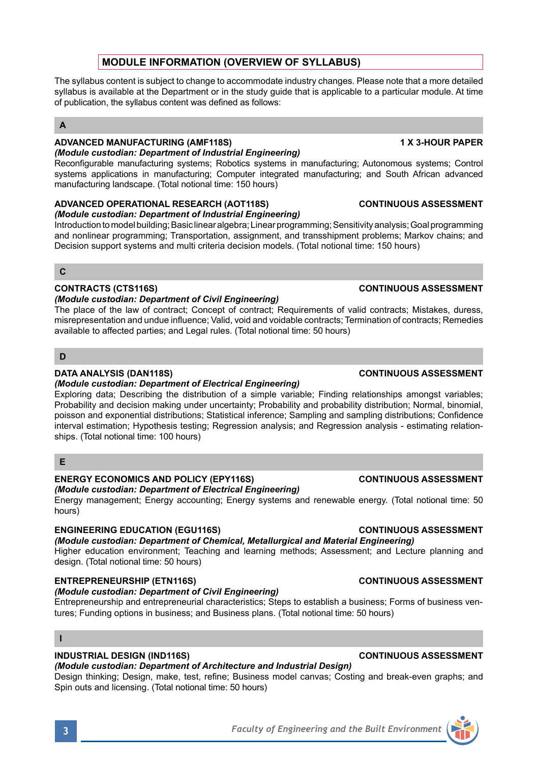# **MODULE INFORMATION (OVERVIEW OF SYLLABUS)**

The syllabus content is subject to change to accommodate industry changes. Please note that a more detailed syllabus is available at the Department or in the study quide that is applicable to a particular module. At time of publication, the syllabus content was defined as follows:

### **A**

### **ADVANCED MANUFACTURING (AMF118S) 1 X 3-HOUR PAPER**  *(Module custodian: Department of Industrial Engineering)*

Reconfigurable manufacturing systems; Robotics systems in manufacturing; Autonomous systems; Control systems applications in manufacturing; Computer integrated manufacturing; and South African advanced manufacturing landscape. (Total notional time: 150 hours)

### **ADVANCED OPERATIONAL RESEARCH (AOT118S) CONTINUOUS ASSESSMENT**  *(Module custodian: Department of Industrial Engineering)*

Introduction to model building; Basic linear algebra; Linear programming; Sensitivity analysis; Goal programming and nonlinear programming; Transportation, assignment, and transshipment problems; Markov chains; and Decision support systems and multi criteria decision models. (Total notional time: 150 hours)

### **C**

### **CONTRACTS (CTS116S) CONTINUOUS ASSESSMENT**

### *(Module custodian: Department of Civil Engineering)*

The place of the law of contract; Concept of contract; Requirements of valid contracts; Mistakes, duress, misrepresentation and undue influence; Valid, void and voidable contracts; Termination of contracts; Remedies available to affected parties; and Legal rules. (Total notional time: 50 hours)

### **D**

### **DATA ANALYSIS (DAN118S) CONTINUOUS ASSESSMENT**

### *(Module custodian: Department of Electrical Engineering)*

Exploring data; Describing the distribution of a simple variable; Finding relationships amongst variables; Probability and decision making under uncertainty; Probability and probability distribution; Normal, binomial, poisson and exponential distributions; Statistical inference; Sampling and sampling distributions; Confidence interval estimation; Hypothesis testing; Regression analysis; and Regression analysis - estimating relationships. (Total notional time: 100 hours)

## **E**

## **ENERGY ECONOMICS AND POLICY (EPY116S) CONTINUOUS ASSESSMENT**

*(Module custodian: Department of Electrical Engineering)* Energy management; Energy accounting; Energy systems and renewable energy. (Total notional time: 50 hours)

## **ENGINEERING EDUCATION (EGU116S) CONTINUOUS ASSESSMENT**

## *(Module custodian: Department of Chemical, Metallurgical and Material Engineering)*

Higher education environment; Teaching and learning methods; Assessment; and Lecture planning and design. (Total notional time: 50 hours)

## **ENTREPRENEURSHIP (ETN116S) CONTINUOUS ASSESSMENT**

## *(Module custodian: Department of Civil Engineering)*

Entrepreneurship and entrepreneurial characteristics; Steps to establish a business; Forms of business ventures; Funding options in business; and Business plans. (Total notional time: 50 hours)

### **I**

### **INDUSTRIAL DESIGN (IND116S) CONTINUOUS ASSESSMENT**

## *(Module custodian: Department of Architecture and Industrial Design)*

Design thinking; Design, make, test, refine; Business model canvas; Costing and break-even graphs; and Spin outs and licensing. (Total notional time: 50 hours)